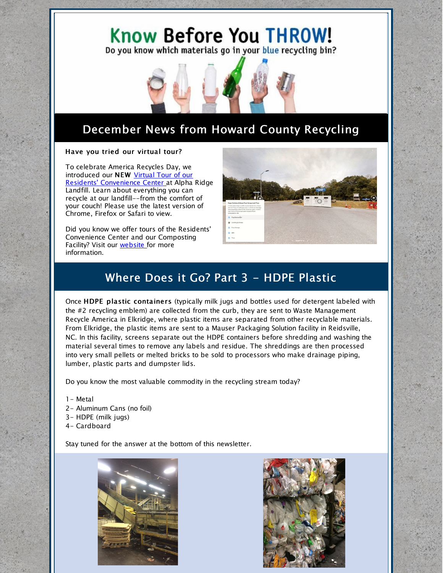# Know Before You THROW!

Do you know which materials go in your blue recycling bin?



# December News from Howard County Recycling

#### Have you tried our virtual tour?

To celebrate America Recycles Day, we introduced [ou](https://poly.google.com/view/3CQJDi0MAbD)r NEW Virtual Tour of our Residents' [Convenience](https://poly.google.com/view/3CQJDi0MAbD) Center at Alpha Ridge Landfill. Learn about everything you can recycle at our landfill--from the comfort of your couch! Please use the latest version of Chrome, Firefox or Safari to view.

Did you know we offer tours of the Residents' Convenience Center and [o](https://www.howardcountymd.gov/Departments/Public-Works/Bureau-Of-Environmental-Services/Recycling/Outreach-and-Education)ur Composting Facility? Visit our [website](https://www.howardcountymd.gov/Departments/Public-Works/Bureau-Of-Environmental-Services/Recycling/Outreach-and-Education) for more information.



# Where Does it Go? Part 3 - HDPE Plastic

Once HDPE plastic containers (typically milk jugs and bottles used for detergent labeled with the #2 recycling emblem) are collected from the curb, they are sent to Waste Management Recycle America in Elkridge, where plastic items are separated from other recyclable materials. From Elkridge, the plastic items are sent to a Mauser Packaging Solution facility in Reidsville, NC. In this facility, screens separate out the HDPE containers before shredding and washing the material several times to remove any labels and residue. The shreddings are then processed into very small pellets or melted bricks to be sold to processors who make drainage piping, lumber, plastic parts and dumpster lids.

Do you know the most valuable commodity in the recycling stream today?

- 1- Metal
- 2- Aluminum Cans (no foil)
- 3- HDPE (milk jugs)
- 4- Cardboard

Stay tuned for the answer at the bottom of this newsletter.



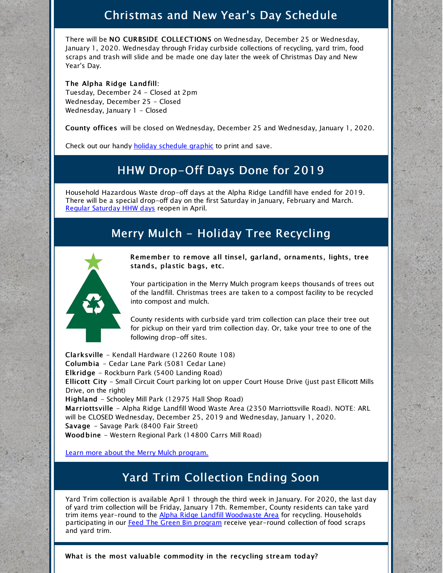#### Christmas and New Year's Day Schedule

There will be NO CURBSIDE COLLECTIONS on Wednesday, December 25 or Wednesday, January 1, 2020. Wednesday through Friday curbside collections of recycling, yard trim, food scraps and trash will slide and be made one day later the week of Christmas Day and New Year's Day.

The Alpha Ridge Landfill: Tuesday, December 24 - Closed at 2pm Wednesday, December 25 - Closed Wednesday, January 1 - Closed

County offices will be closed on Wednesday, December 25 and Wednesday, January 1, 2020.

Check out our handy **holiday [schedule](https://www.howardcountymd.gov/Departments/Public-Works/Bureau-Of-Environmental-Services/Curbside-Collections/Holiday-Schedule-for-Recycling-Trash) graphic** to print and save.

#### HHW Drop-Off Days Done for 2019

Household Hazardous Waste drop-off days at the Alpha Ridge Landfill have ended for 2019. There will be a special drop-off day on the first Saturday in January, February and March. Regular [Saturday](https://www.howardcountymd.gov/Departments/Public-Works/Bureau-Of-Environmental-Services/Alpha-Ridge-Landfill/Household-Hazardous-Waste) HHW days reopen in April.

### Merry Mulch - Holiday Tree Recycling



Remember to remove all tinsel, garland, ornaments, lights, tree stands, plastic bags, etc.

Your participation in the Merry Mulch program keeps thousands of trees out of the landfill. Christmas trees are taken to a compost facility to be recycled into compost and mulch.

County residents with curbside yard trim collection can place their tree out for pickup on their yard trim collection day. Or, take your tree to one of the following drop-off sites.

Clarksville - Kendall Hardware (12260 Route 108) Columbia - Cedar Lane Park (5081 Cedar Lane) Elkridge - Rockburn Park (5400 Landing Road) Ellicott City - Small Circuit Court parking lot on upper Court House Drive (just past Ellicott Mills Drive, on the right) Highland - Schooley Mill Park (12975 Hall Shop Road) Marriottsville - Alpha Ridge Landfill Wood Waste Area (2350 Marriottsville Road). NOTE: ARL will be CLOSED Wednesday, December 25, 2019 and Wednesday, January 1, 2020. Savage - Savage Park (8400 Fair Street) Woodbine - Western Regional Park (14800 Carrs Mill Road)

Learn more about the Merry Mulch [program.](https://www.howardcountymd.gov/Departments/Public-Works/Bureau-Of-Environmental-Services/Curbside-Collections/Yard-Trim/Merry-Mulch)

### Yard Trim Collection Ending Soon

Yard Trim collection is available April 1 through the third week in January. For 2020, the last day of yard trim collection will be Friday, January 17th. Remember, County residents can take yard trim items year-round to the Alpha Ridge Landfill [Woodwaste](https://www.howardcountymd.gov/Departments/Public-Works/Bureau-Of-Environmental-Services/Alpha-Ridge-Landfill/WoodWaste-Area) Area for recycling. Households participating in our Feed The Green Bin [program](http://feedthegreenbin.org) receive year-round collection of food scraps and yard trim.

What is the most valuable commodity in the recycling stream today?